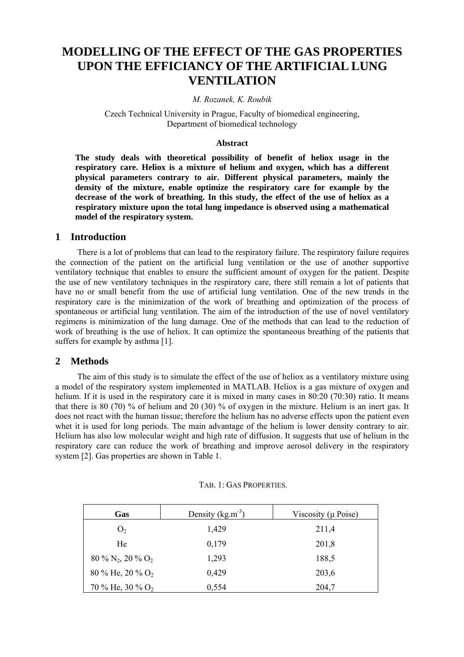# **MODELLING OF THE EFFECT OF THE GAS PROPERTIES UPON THE EFFICIANCY OF THE ARTIFICIAL LUNG VENTILATION**

#### *M. Rozanek, K. Roubik*

Czech Technical University in Prague, Faculty of biomedical engineering, Department of biomedical technology

#### **Abstract**

**The study deals with theoretical possibility of benefit of heliox usage in the respiratory care. Heliox is a mixture of helium and oxygen, which has a different physical parameters contrary to air. Different physical parameters, mainly the density of the mixture, enable optimize the respiratory care for example by the decrease of the work of breathing. In this study, the effect of the use of heliox as a respiratory mixture upon the total lung impedance is observed using a mathematical model of the respiratory system.** 

## **1 Introduction**

There is a lot of problems that can lead to the respiratory failure. The respiratory failure requires the connection of the patient on the artificial lung ventilation or the use of another supportive ventilatory technique that enables to ensure the sufficient amount of oxygen for the patient. Despite the use of new ventilatory techniques in the respiratory care, there still remain a lot of patients that have no or small benefit from the use of artificial lung ventilation. One of the new trends in the respiratory care is the minimization of the work of breathing and optimization of the process of spontaneous or artificial lung ventilation. The aim of the introduction of the use of novel ventilatory regimens is minimization of the lung damage. One of the methods that can lead to the reduction of work of breathing is the use of heliox. It can optimize the spontaneous breathing of the patients that suffers for example by asthma [1].

## **2 Methods**

The aim of this study is to simulate the effect of the use of heliox as a ventilatory mixture using a model of the respiratory system implemented in MATLAB. Heliox is a gas mixture of oxygen and helium. If it is used in the respiratory care it is mixed in many cases in 80:20 (70:30) ratio. It means that there is 80 (70) % of helium and 20 (30) % of oxygen in the mixture. Helium is an inert gas. It does not react with the human tissue; therefore the helium has no adverse effects upon the patient even whet it is used for long periods. The main advantage of the helium is lower density contrary to air. Helium has also low molecular weight and high rate of diffusion. It suggests that use of helium in the respiratory care can reduce the work of breathing and improve aerosol delivery in the respiratory system [2]. Gas properties are shown in Table 1.

| Gas                              | Density $(kg.m^{-3})$ | Viscosity ( $\mu$ Poise) |
|----------------------------------|-----------------------|--------------------------|
| O <sub>2</sub>                   | 1,429                 | 211,4                    |
| He                               | 0,179                 | 201,8                    |
| $80\% N_2$ , $20\% O_2$          | 1,293                 | 188,5                    |
| $80\%$ He, $20\%$ O <sub>2</sub> | 0,429                 | 203,6                    |
| 70 % He, 30 % $O_2$              | 0,554                 | 204,7                    |

#### TAB. 1: GAS PROPERTIES.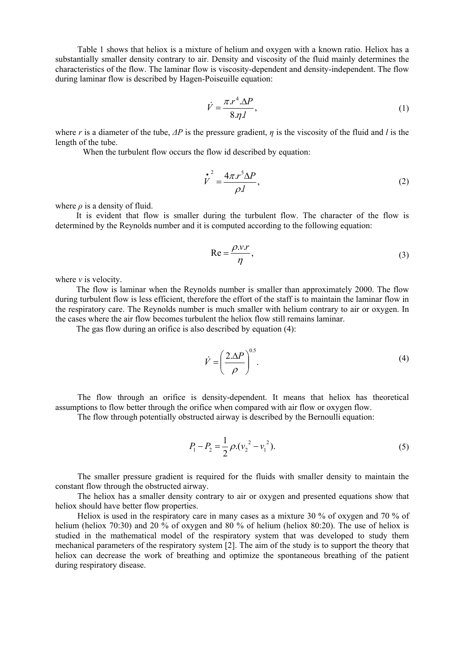Table 1 shows that heliox is a mixture of helium and oxygen with a known ratio. Heliox has a substantially smaller density contrary to air. Density and viscosity of the fluid mainly determines the characteristics of the flow. The laminar flow is viscosity-dependent and density-independent. The flow during laminar flow is described by Hagen-Poiseuille equation:

$$
\dot{V} = \frac{\pi r^4 \Delta P}{8 \eta l},\tag{1}
$$

where *r* is a diameter of the tube, *∆P* is the pressure gradient, *η* is the viscosity of the fluid and *l* is the length of the tube.

When the turbulent flow occurs the flow id described by equation:

$$
\dot{V}^2 = \frac{4\pi r^5 \Delta P}{\rho l},\tag{2}
$$

where  $\rho$  is a density of fluid.

It is evident that flow is smaller during the turbulent flow. The character of the flow is determined by the Reynolds number and it is computed according to the following equation:

$$
Re = \frac{\rho.v.r}{\eta},
$$
 (3)

where  $\nu$  is velocity.

The flow is laminar when the Reynolds number is smaller than approximately 2000. The flow during turbulent flow is less efficient, therefore the effort of the staff is to maintain the laminar flow in the respiratory care. The Reynolds number is much smaller with helium contrary to air or oxygen. In the cases where the air flow becomes turbulent the heliox flow still remains laminar.

The gas flow during an orifice is also described by equation (4):

$$
\dot{V} = \left(\frac{2.\Delta P}{\rho}\right)^{0.5}.\tag{4}
$$

The flow through an orifice is density-dependent. It means that heliox has theoretical assumptions to flow better through the orifice when compared with air flow or oxygen flow.

The flow through potentially obstructed airway is described by the Bernoulli equation:

$$
P_1 - P_2 = \frac{1}{2} \rho \left(v_2^2 - v_1^2\right). \tag{5}
$$

The smaller pressure gradient is required for the fluids with smaller density to maintain the constant flow through the obstructed airway.

The heliox has a smaller density contrary to air or oxygen and presented equations show that heliox should have better flow properties.

Heliox is used in the respiratory care in many cases as a mixture 30 % of oxygen and 70 % of helium (heliox 70:30) and 20 % of oxygen and 80 % of helium (heliox 80:20). The use of heliox is studied in the mathematical model of the respiratory system that was developed to study them mechanical parameters of the respiratory system [2]. The aim of the study is to support the theory that heliox can decrease the work of breathing and optimize the spontaneous breathing of the patient during respiratory disease.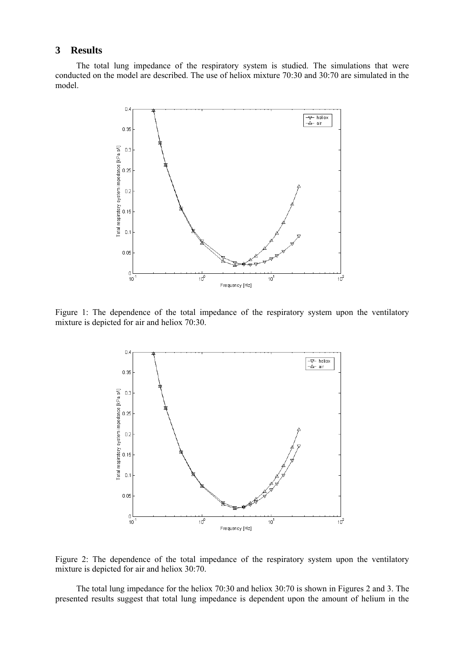# **3 Results**

The total lung impedance of the respiratory system is studied. The simulations that were conducted on the model are described. The use of heliox mixture 70:30 and 30:70 are simulated in the model.



Figure 1: The dependence of the total impedance of the respiratory system upon the ventilatory mixture is depicted for air and heliox 70:30.



Figure 2: The dependence of the total impedance of the respiratory system upon the ventilatory mixture is depicted for air and heliox 30:70.

The total lung impedance for the heliox 70:30 and heliox 30:70 is shown in Figures 2 and 3. The presented results suggest that total lung impedance is dependent upon the amount of helium in the